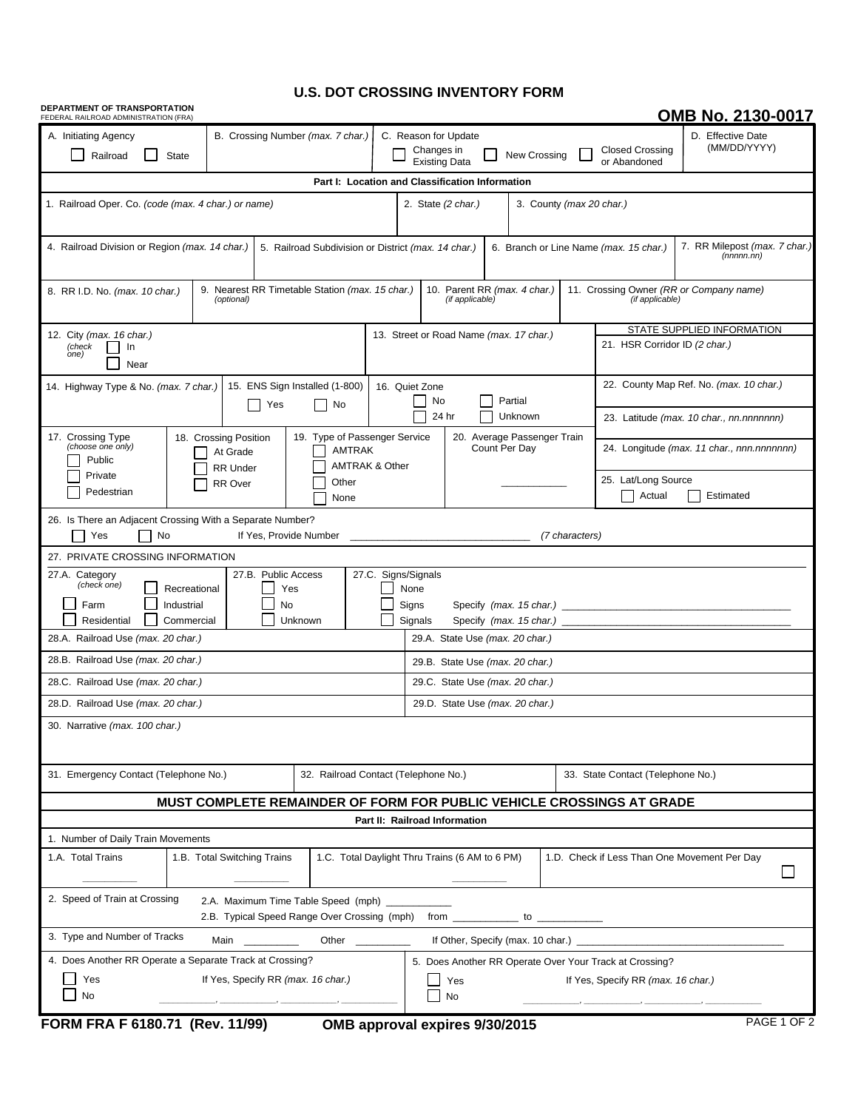## **U.S. DOT CROSSING INVENTORY FORM**

| DEPARTMENT OF TRANSPORTATION<br>FEDERAL RAILROAD ADMINISTRATION (FRA)                                                                                                                              |                                                                                    |                                                                                                               |       |  |                                                                                                                      |                                                         |                                                             |                                                                                        |                                   |                                            | OMB No. 2130-0017                            |  |  |
|----------------------------------------------------------------------------------------------------------------------------------------------------------------------------------------------------|------------------------------------------------------------------------------------|---------------------------------------------------------------------------------------------------------------|-------|--|----------------------------------------------------------------------------------------------------------------------|---------------------------------------------------------|-------------------------------------------------------------|----------------------------------------------------------------------------------------|-----------------------------------|--------------------------------------------|----------------------------------------------|--|--|
| A. Initiating Agency<br>B. Crossing Number (max. 7 char.)<br><b>State</b><br>Railroad                                                                                                              |                                                                                    |                                                                                                               |       |  | C. Reason for Update<br><b>Closed Crossing</b><br>Changes in<br>New Crossing<br><b>Existing Data</b><br>or Abandoned |                                                         |                                                             |                                                                                        |                                   |                                            | D. Effective Date<br>(MM/DD/YYYY)            |  |  |
| Part I: Location and Classification Information                                                                                                                                                    |                                                                                    |                                                                                                               |       |  |                                                                                                                      |                                                         |                                                             |                                                                                        |                                   |                                            |                                              |  |  |
| 1. Railroad Oper. Co. (code (max. 4 char.) or name)                                                                                                                                                |                                                                                    | 2. State (2 char.)<br>3. County (max 20 char.)                                                                |       |  |                                                                                                                      |                                                         |                                                             |                                                                                        |                                   |                                            |                                              |  |  |
| 4. Railroad Division or Region (max. 14 char.)                                                                                                                                                     |                                                                                    | 5. Railroad Subdivision or District (max. 14 char.)                                                           |       |  |                                                                                                                      |                                                         | 6. Branch or Line Name (max. 15 char.)                      | 7. RR Milepost (max. 7 char.)<br>(nnnnn.in)                                            |                                   |                                            |                                              |  |  |
| 8. RR I.D. No. (max. 10 char.)                                                                                                                                                                     | 9. Nearest RR Timetable Station (max. 15 char.)                                    | 10. Parent RR (max. 4 char.)<br>11. Crossing Owner (RR or Company name)<br>(if applicable)<br>(if applicable) |       |  |                                                                                                                      |                                                         |                                                             |                                                                                        |                                   |                                            |                                              |  |  |
| 12. City (max. 16 char.)<br>(check<br>In<br>one)<br>Near                                                                                                                                           |                                                                                    | 13. Street or Road Name (max. 17 char.)                                                                       |       |  |                                                                                                                      |                                                         | STATE SUPPLIED INFORMATION<br>21. HSR Corridor ID (2 char.) |                                                                                        |                                   |                                            |                                              |  |  |
| 15. ENS Sign Installed (1-800)<br>14. Highway Type & No. (max. 7 char.)<br>Yes<br>No                                                                                                               |                                                                                    |                                                                                                               |       |  | 16. Quiet Zone<br>Partial<br>No                                                                                      |                                                         |                                                             |                                                                                        |                                   | 22. County Map Ref. No. (max. 10 char.)    |                                              |  |  |
| 17. Crossing Type<br>(choose one only)                                                                                                                                                             | 18. Crossing Position<br>At Grade                                                  | 19. Type of Passenger Service<br><b>AMTRAK</b>                                                                | 24 hr |  |                                                                                                                      | Unknown<br>20. Average Passenger Train<br>Count Per Dav |                                                             | 23. Latitude (max. 10 char., nn.nnnnnnn)<br>24. Longitude (max. 11 char., nnn.nnnnnnn) |                                   |                                            |                                              |  |  |
| Private<br>Pedestrian                                                                                                                                                                              | Public<br><b>AMTRAK &amp; Other</b><br><b>RR Under</b><br>Other<br>RR Over<br>None |                                                                                                               |       |  |                                                                                                                      |                                                         |                                                             |                                                                                        |                                   | 25. Lat/Long Source<br>Actual<br>Estimated |                                              |  |  |
| 26. Is There an Adjacent Crossing With a Separate Number?<br>If Yes, Provide Number<br>Yes<br>No<br>(7 characters)                                                                                 |                                                                                    |                                                                                                               |       |  |                                                                                                                      |                                                         |                                                             |                                                                                        |                                   |                                            |                                              |  |  |
| 27. PRIVATE CROSSING INFORMATION                                                                                                                                                                   |                                                                                    |                                                                                                               |       |  |                                                                                                                      |                                                         |                                                             |                                                                                        |                                   |                                            |                                              |  |  |
| 27.B. Public Access<br>27.C. Signs/Signals<br>27.A. Category<br>(check one)<br>Recreational<br>None<br>Yes<br>Signs<br>Farm<br>Industrial<br>No<br>Commercial<br>Residential<br>Unknown<br>Signals |                                                                                    |                                                                                                               |       |  |                                                                                                                      |                                                         |                                                             |                                                                                        |                                   |                                            |                                              |  |  |
| 28.A. Railroad Use (max. 20 char.)                                                                                                                                                                 |                                                                                    | 29.A. State Use (max. 20 char.)                                                                               |       |  |                                                                                                                      |                                                         |                                                             |                                                                                        |                                   |                                            |                                              |  |  |
| 28.B. Railroad Use (max. 20 char.)                                                                                                                                                                 |                                                                                    | 29.B. State Use (max. 20 char.)                                                                               |       |  |                                                                                                                      |                                                         |                                                             |                                                                                        |                                   |                                            |                                              |  |  |
| 28.C. Railroad Use (max. 20 char.)                                                                                                                                                                 |                                                                                    | 29.C. State Use (max. 20 char.)                                                                               |       |  |                                                                                                                      |                                                         |                                                             |                                                                                        |                                   |                                            |                                              |  |  |
| 28.D. Railroad Use (max. 20 char.)                                                                                                                                                                 |                                                                                    | 29.D. State Use (max. 20 char.)                                                                               |       |  |                                                                                                                      |                                                         |                                                             |                                                                                        |                                   |                                            |                                              |  |  |
| 30. Narrative (max. 100 char.)                                                                                                                                                                     |                                                                                    |                                                                                                               |       |  |                                                                                                                      |                                                         |                                                             |                                                                                        |                                   |                                            |                                              |  |  |
| 31. Emergency Contact (Telephone No.)                                                                                                                                                              |                                                                                    |                                                                                                               |       |  | 32. Railroad Contact (Telephone No.)                                                                                 |                                                         |                                                             |                                                                                        | 33. State Contact (Telephone No.) |                                            |                                              |  |  |
| MUST COMPLETE REMAINDER OF FORM FOR PUBLIC VEHICLE CROSSINGS AT GRADE                                                                                                                              |                                                                                    |                                                                                                               |       |  |                                                                                                                      |                                                         |                                                             |                                                                                        |                                   |                                            |                                              |  |  |
| Part II: Railroad Information                                                                                                                                                                      |                                                                                    |                                                                                                               |       |  |                                                                                                                      |                                                         |                                                             |                                                                                        |                                   |                                            |                                              |  |  |
| 1. Number of Daily Train Movements                                                                                                                                                                 |                                                                                    |                                                                                                               |       |  |                                                                                                                      |                                                         |                                                             |                                                                                        |                                   |                                            |                                              |  |  |
| 1.B. Total Switching Trains<br>1.A. Total Trains<br>1.C. Total Daylight Thru Trains (6 AM to 6 PM)                                                                                                 |                                                                                    |                                                                                                               |       |  |                                                                                                                      |                                                         |                                                             |                                                                                        |                                   |                                            | 1.D. Check if Less Than One Movement Per Day |  |  |
| 2. Speed of Train at Crossing<br>2.A. Maximum Time Table Speed (mph) ______________<br>2.B. Typical Speed Range Over Crossing (mph) from ___<br>to                                                 |                                                                                    |                                                                                                               |       |  |                                                                                                                      |                                                         |                                                             |                                                                                        |                                   |                                            |                                              |  |  |
| 3. Type and Number of Tracks<br>If Other, Specify (max. 10 char.) ______<br>Main _________<br>Other $\qquad \qquad$                                                                                |                                                                                    |                                                                                                               |       |  |                                                                                                                      |                                                         |                                                             |                                                                                        |                                   |                                            |                                              |  |  |
| 4. Does Another RR Operate a Separate Track at Crossing?                                                                                                                                           |                                                                                    | 5. Does Another RR Operate Over Your Track at Crossing?                                                       |       |  |                                                                                                                      |                                                         |                                                             |                                                                                        |                                   |                                            |                                              |  |  |
| If Yes, Specify RR (max. 16 char.)<br>Yes<br>No                                                                                                                                                    |                                                                                    |                                                                                                               |       |  |                                                                                                                      | If Yes, Specify RR (max. 16 char.)<br>Yes<br>No         |                                                             |                                                                                        |                                   |                                            |                                              |  |  |